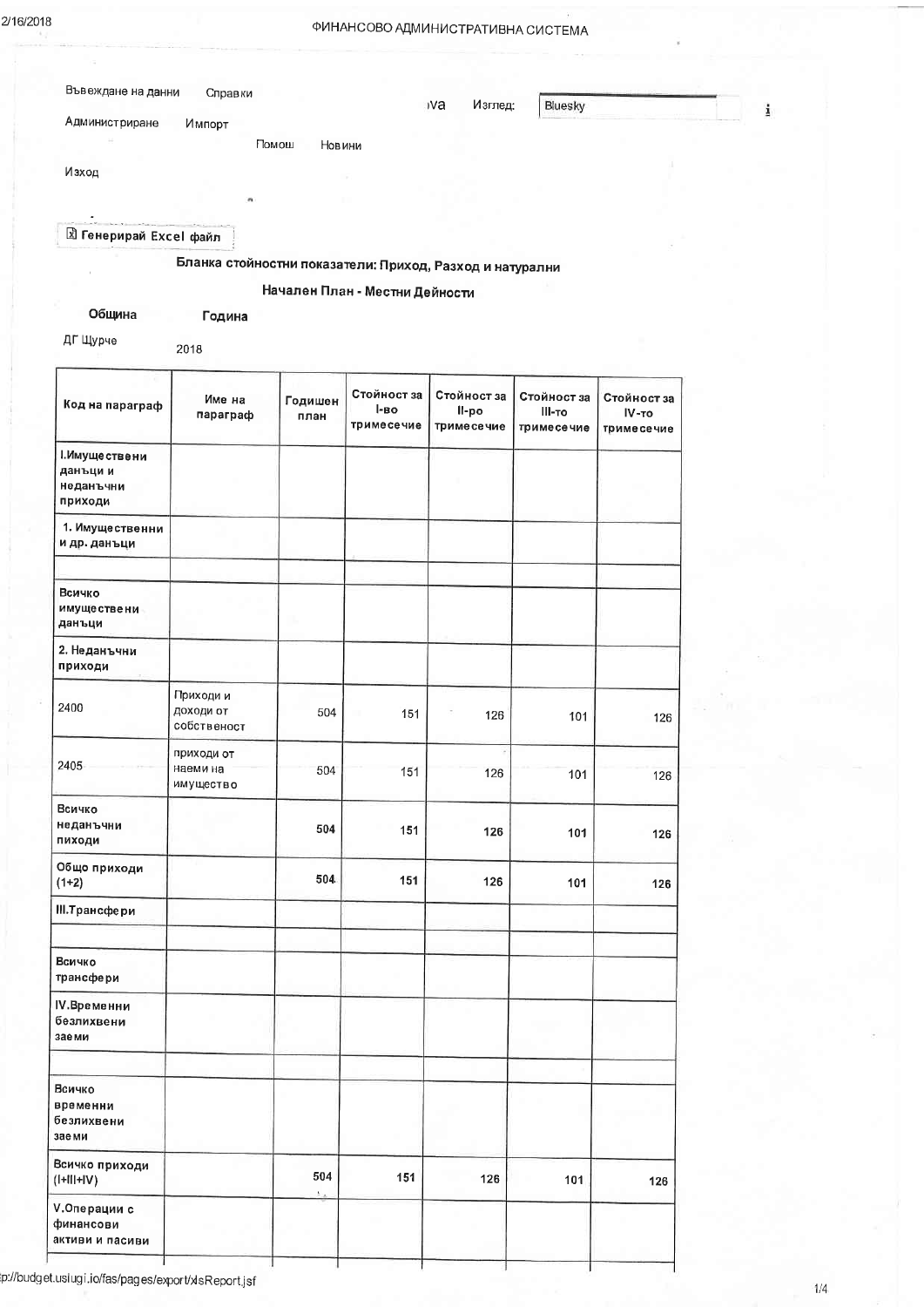Изглед:

**IVa** 

Bluesky

i

| Зъвеждане на данни | Справки |  |
|--------------------|---------|--|
|--------------------|---------|--|

Администриране Импорт

Помош Новини

Изход

**E** Генерирай Excel файл

Бланка стойностни показатели: Приход, Разход и натурални

Начален План - Местни Дейности

Община Година

2018

ДГ Щурче

Стойност за Стойност за Стойност за Стойност за Име на Годишен Код на параграф l-Bo II-po параграф III-то  $IV-TO$ план тримесечие тримесечие тримесечие тримесечие І. Имуще ствени данъци и неданъчни приходи 1. Имущественни и др. данъци Всичко имуществени данъци 2. Неданъчни приходи Приходи и 2400 доходи от 504 151 126 101 126 собственост приходи от 2405 наеми на 504 151 126 101 126 имущество Всичко неданъчни 504 151 126 101 126 пиходи Общо приходи 504 151 126  $(1+2)$ 101 126 III. Трансфери Всичко трансфери IV. Временни безлихвени заеми Всичко временни безлихвени заеми Всичко приходи 504 151 126  $(I+III+IV)$ 101 126 **V.Операции с** финансови активи и пасиви

p://budget.uslugi.io/fas/pages/export/xlsReport.jsf

 $1/4$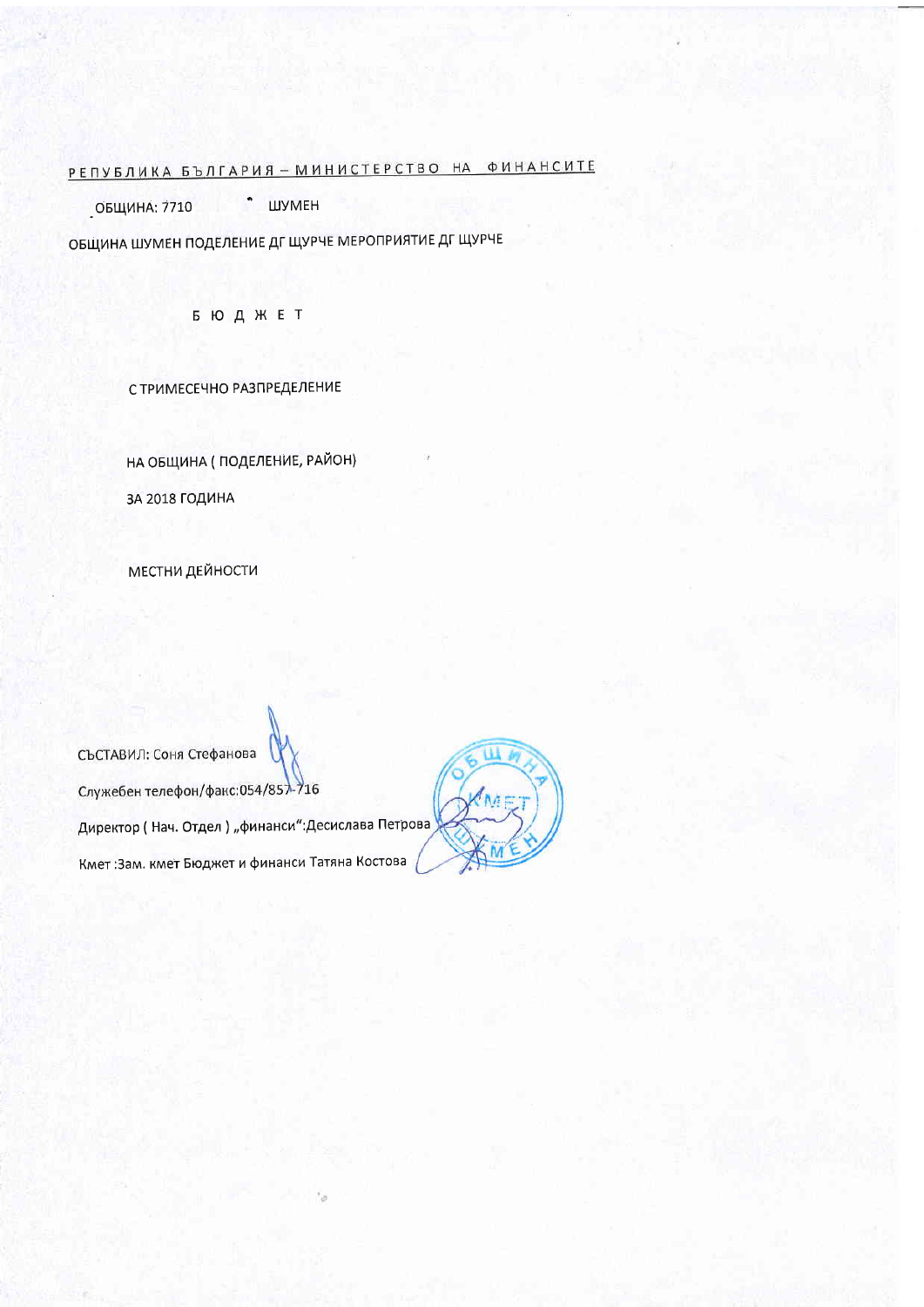# <u> РЕПУБЛИКА БЪЛГАРИЯ – МИНИСТЕРСТВО НА ФИНАНСИТЕ</u>

ОБЩИНА: 7710 • ШУМЕН

ОБЩИНА ШУМЕН ПОДЕЛЕНИЕ ДГ ЩУРЧЕ МЕРОПРИЯТИЕ ДГ ЩУРЧЕ

**БЮДЖЕТ** 

С ТРИМЕСЕЧНО РАЗПРЕДЕЛЕНИЕ

НА ОБЩИНА (ПОДЕЛЕНИЕ, РАЙОН) ЗА 2018 ГОДИНА

**МЕСТНИ ДЕЙНОСТИ** 

СЪСТАВИЛ: Соня Стефанова Служебен телефон/факс:054/857-716 Директор (Нач. Отдел) "финанси":Десислава Петрова Кмет:Зам. кмет Бюджет и финанси Татяна Костова

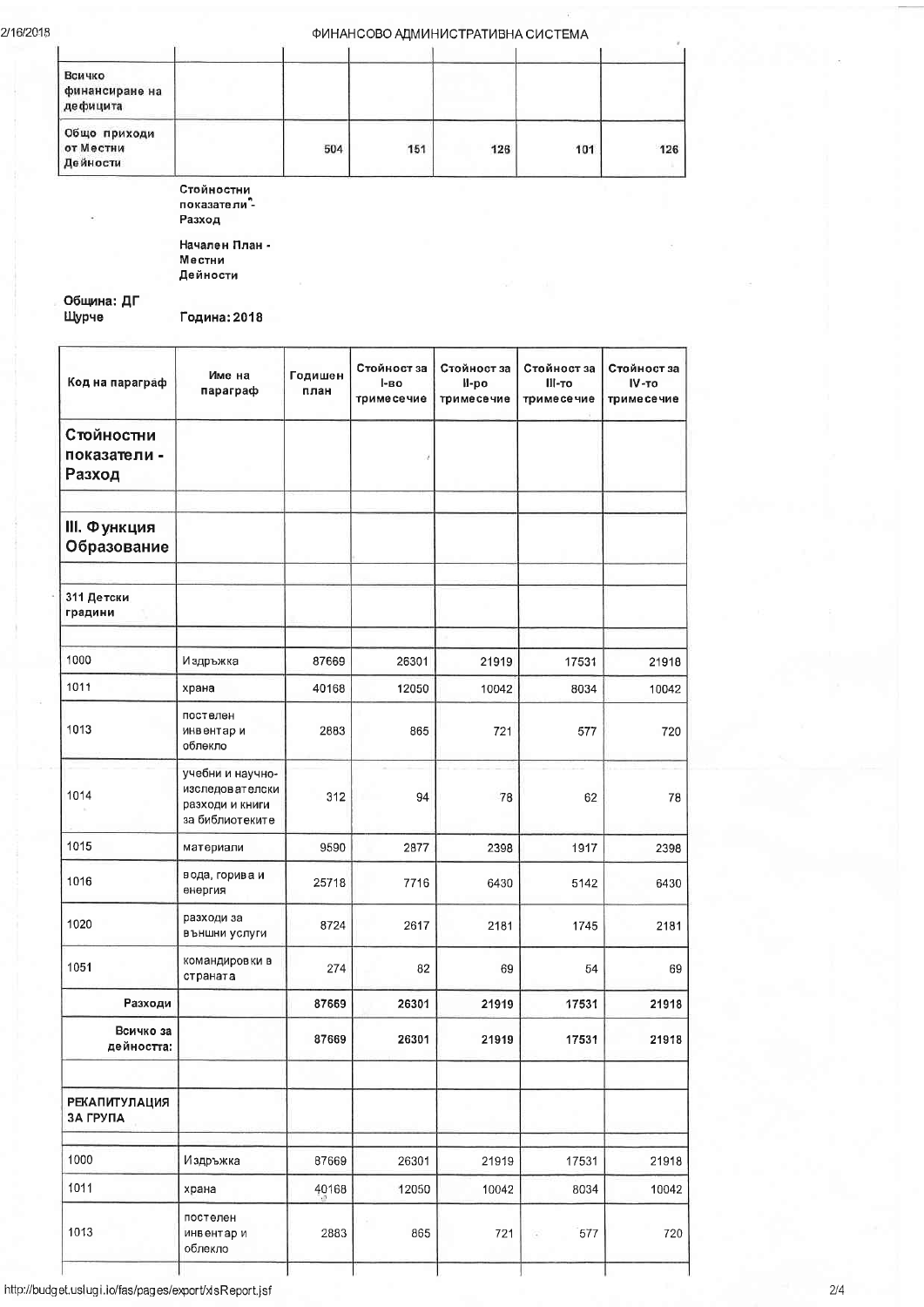# ФИНАНСОВО АДМИНИСТРАТИВНА СИСТЕМА

| Всичко<br>финансиране на<br>дефицита  |     |     |     |     |     |
|---------------------------------------|-----|-----|-----|-----|-----|
| Общо приходи<br>от Местни<br>Дейности | 504 | 151 | 126 | 101 | 126 |

Стойностни<br>показатели<sup>9</sup>-Разход

Начален План -<br>Местни Дейности

Община: ДГ<br>Щурче

Година: 2018

| Код на параграф                      | Име на<br>параграф                                                        | Годишен<br>план | Стойност за<br>l-BO<br>тримесечие | Стойност за<br>ll-po<br>тримесечие | Стойност за<br>III-то<br>тримесечие | Стойност за<br>IV-TO<br>тримесечие |
|--------------------------------------|---------------------------------------------------------------------------|-----------------|-----------------------------------|------------------------------------|-------------------------------------|------------------------------------|
| Стойностни<br>показатели -<br>Разход |                                                                           |                 | 7                                 |                                    |                                     |                                    |
| <b>III. Функция</b><br>Образование   |                                                                           |                 |                                   |                                    |                                     |                                    |
| 311 Детски<br>градини                |                                                                           |                 |                                   |                                    |                                     |                                    |
| 1000                                 | И здръжка                                                                 | 87669           | 26301                             | 21919                              | 17531                               | 21918                              |
| 1011                                 | храна                                                                     | 40168           | 12050                             | 10042                              | 8034                                | 10042                              |
| 1013                                 | постелен<br>инвентар и<br>облекло                                         | 2883            | 865                               | 721                                | 577                                 | 720                                |
| 1014                                 | учебни и научно-<br>изследователски<br>разходи и книги<br>за библиотеките | 312             | 94                                | 78                                 | 62                                  | 78                                 |
| 1015                                 | материали                                                                 | 9590            | 2877                              | 2398                               | 1917                                | 2398                               |
| 1016                                 | вода, горива и<br>өнөргия                                                 | 25718           | 7716                              | 6430                               | 5142                                | 6430                               |
| 1020                                 | разходи за<br>външни услуги                                               | 8724            | 2617                              | 2181                               | 1745                                | 2181                               |
| 1051                                 | командировки в<br>страната                                                | 274             | 82                                | 69                                 | 54                                  | 69                                 |
| Разходи                              |                                                                           | 87669           | 26301                             | 21919                              | 17531                               | 21918                              |
| Всичко за<br>дейността:              |                                                                           | 87669           | 26301                             | 21919                              | 17531                               | 21918                              |
| <b>РЕКАПИТУЛАЦИЯ</b><br>ЗА ГРУПА     |                                                                           |                 |                                   |                                    |                                     |                                    |
| 1000                                 | Издръжка                                                                  | 87669           | 26301                             | 21919                              | 17531                               | 21918                              |
| 1011                                 | храна                                                                     | 40168           | 12050                             | 10042                              | 8034                                | 10042                              |
| 1013                                 | постелен<br>инвентар и<br>облекло                                         | 2883            | 865                               | 721                                | 577                                 | 720                                |

http://budget.uslugi.io/fas/pages/export/xlsReport.jsf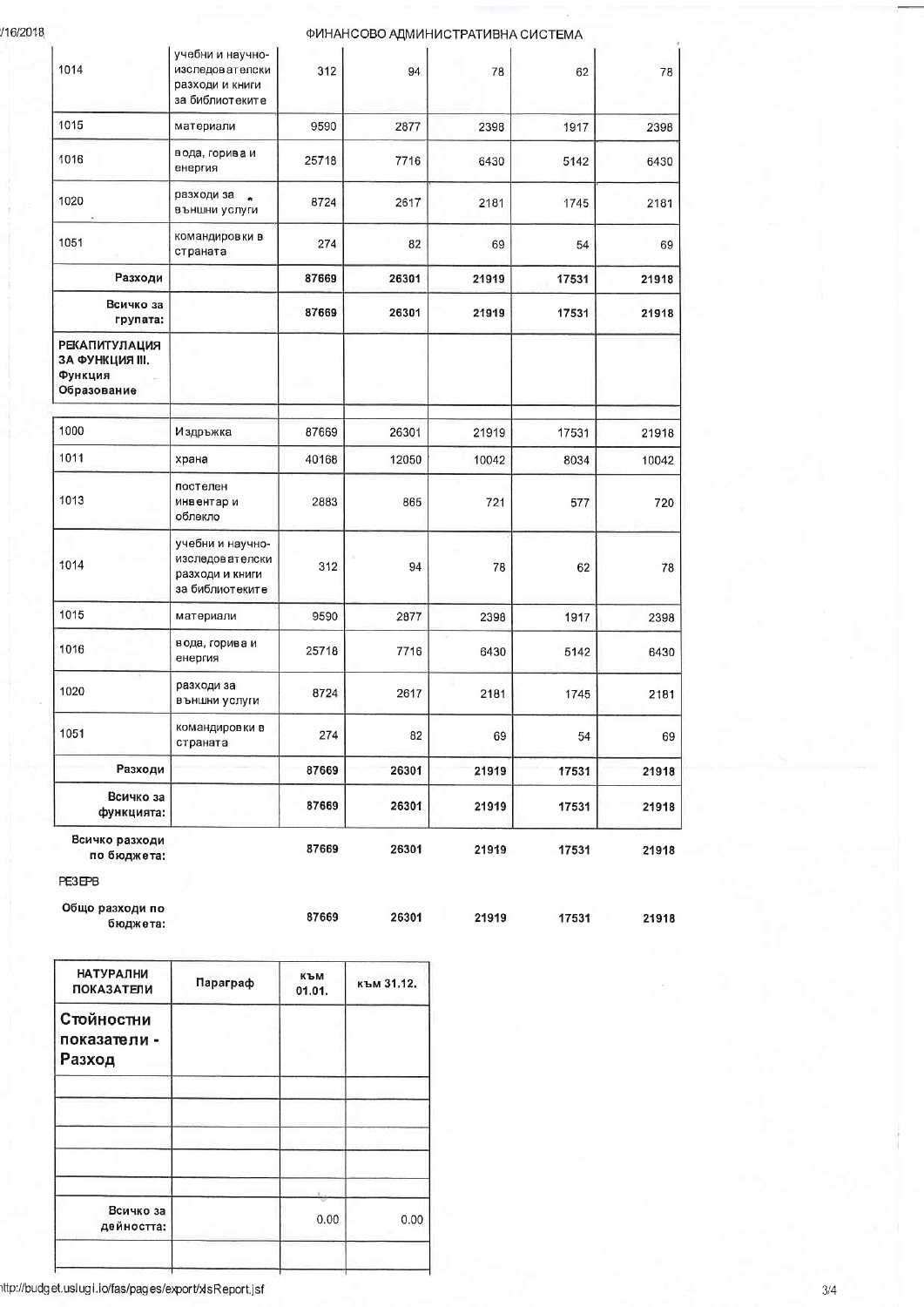/16/2018

### ФИНАНСОВО АДМИНИСТРАТИВНА СИСТЕМА

| Всичко разходи<br>по бюджета:                                     |                                                                             | 87669 | 26301 | 21919 | 17531 | 21918 |
|-------------------------------------------------------------------|-----------------------------------------------------------------------------|-------|-------|-------|-------|-------|
| Всичко за<br>функцията:                                           |                                                                             | 87669 | 26301 | 21919 | 17531 | 21918 |
| Разходи                                                           |                                                                             | 87669 | 26301 | 21919 | 17531 | 21918 |
| 1051                                                              | командировки в<br>страната                                                  | 274   | 82    | 69    | 54    | 69    |
| 1020                                                              | разходи за<br>външни услуги                                                 | 8724  | 2617  | 2181  | 1745  | 2181  |
| 1016                                                              | вода, горива и<br>енергия                                                   | 25718 | 7716  | 6430  | 5142  | 6430  |
| 1015                                                              | материали                                                                   | 9590  | 2877  | 2398  | 1917  | 2398  |
| 1014                                                              | учебни и научно-<br>изследов ат елски<br>разходи и книги<br>за библиотеките | 312   | 94    | 78    | 62    | 78    |
| 1013                                                              | постелен<br>инвентар и<br>облекло                                           | 2883  | 865   | 721   | 577   | 720   |
| 1011                                                              | храна                                                                       | 40168 | 12050 | 10042 | 8034  | 10042 |
| 1000                                                              | Издръжка                                                                    | 87669 | 26301 | 21919 | 17531 | 21918 |
| <b>РЕКАПИТУЛАЦИЯ</b><br>ЗА ФУНКЦИЯ III.<br>Функция<br>Образование |                                                                             |       |       |       |       |       |
| Всичко за<br>групата:                                             |                                                                             | 87669 | 26301 | 21919 | 17531 | 21918 |
| Разходи                                                           |                                                                             | 87669 | 26301 | 21919 | 17531 | 21918 |
| 1051                                                              | командировки в<br>страната                                                  | 274   | 82    | 69    | 54    | 69    |
| 1020                                                              | разходи за<br>външни услуги                                                 | 8724  | 2617  | 2181  | 1745  | 2181  |
| 1016                                                              | вода, горива и<br>енергия                                                   | 25718 | 7716  | 6430  | 5142  | 6430  |
| 1015                                                              | материали                                                                   | 9590  | 2877  | 2398  | 1917  | 2398  |
| 1014                                                              | учебни и научно-<br>изследователски<br>разходи и книги<br>за библиотеките   | 312   | 94    | 78    | 62    | 78    |

| Общо разходи по |       |       |       |       |       |
|-----------------|-------|-------|-------|-------|-------|
| бюджета:        | 87669 | 26301 | 21919 | 17531 | 21918 |

| <b>НАТУРАЛНИ</b><br><b>ПОКАЗАТЕЛИ</b> | Параграф | към<br>01.01. | към 31.12. |
|---------------------------------------|----------|---------------|------------|
| Стойностни<br>показатели -<br>Разход  |          |               |            |
|                                       |          |               |            |
| Всичко за<br>дейността:               |          | 0.00          | 0.00       |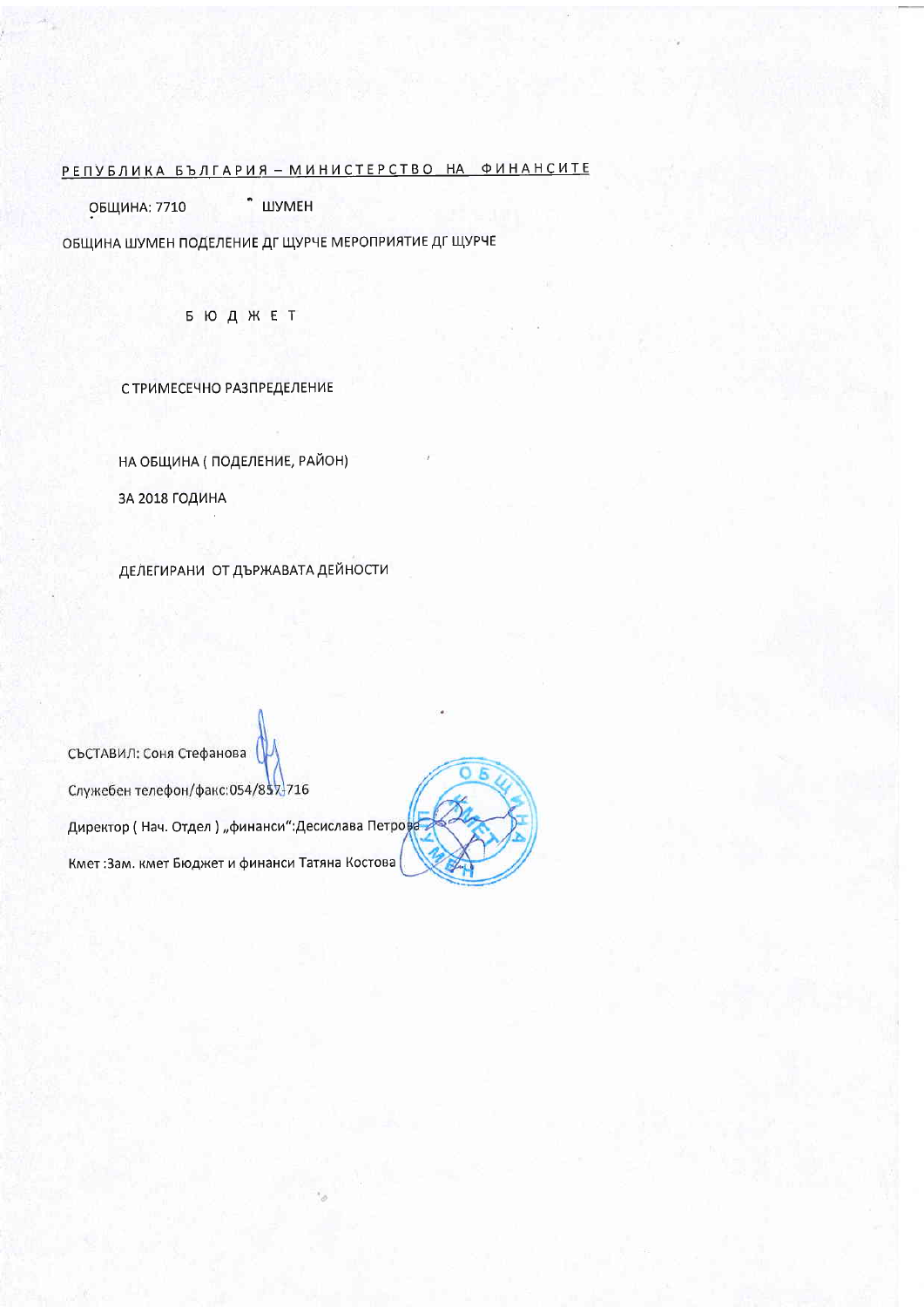# РЕПУБЛИКА БЪЛГАРИЯ - МИНИСТЕРСТВО НА ФИНАНСИТЕ

• ШУМЕН **ОБЩИНА: 7710** 

ОБЩИНА ШУМЕН ПОДЕЛЕНИЕ ДГ ЩУРЧЕ МЕРОПРИЯТИЕ ДГ ЩУРЧЕ

**БЮДЖЕТ** 

С ТРИМЕСЕЧНО РАЗПРЕДЕЛЕНИЕ

НА ОБЩИНА (ПОДЕЛЕНИЕ, РАЙОН) ЗА 2018 ГОДИНА

ДЕЛЕГИРАНИ ОТ ДЪРЖАВАТА ДЕЙНОСТИ

СЪСТАВИЛ: Соня Стефанова Служебен телефон/факс:054/857-716 Директор (Нач. Отдел) "финанси":Десислава Петрова Кмет: Зам. кмет Бюджет и финанси Татяна Костова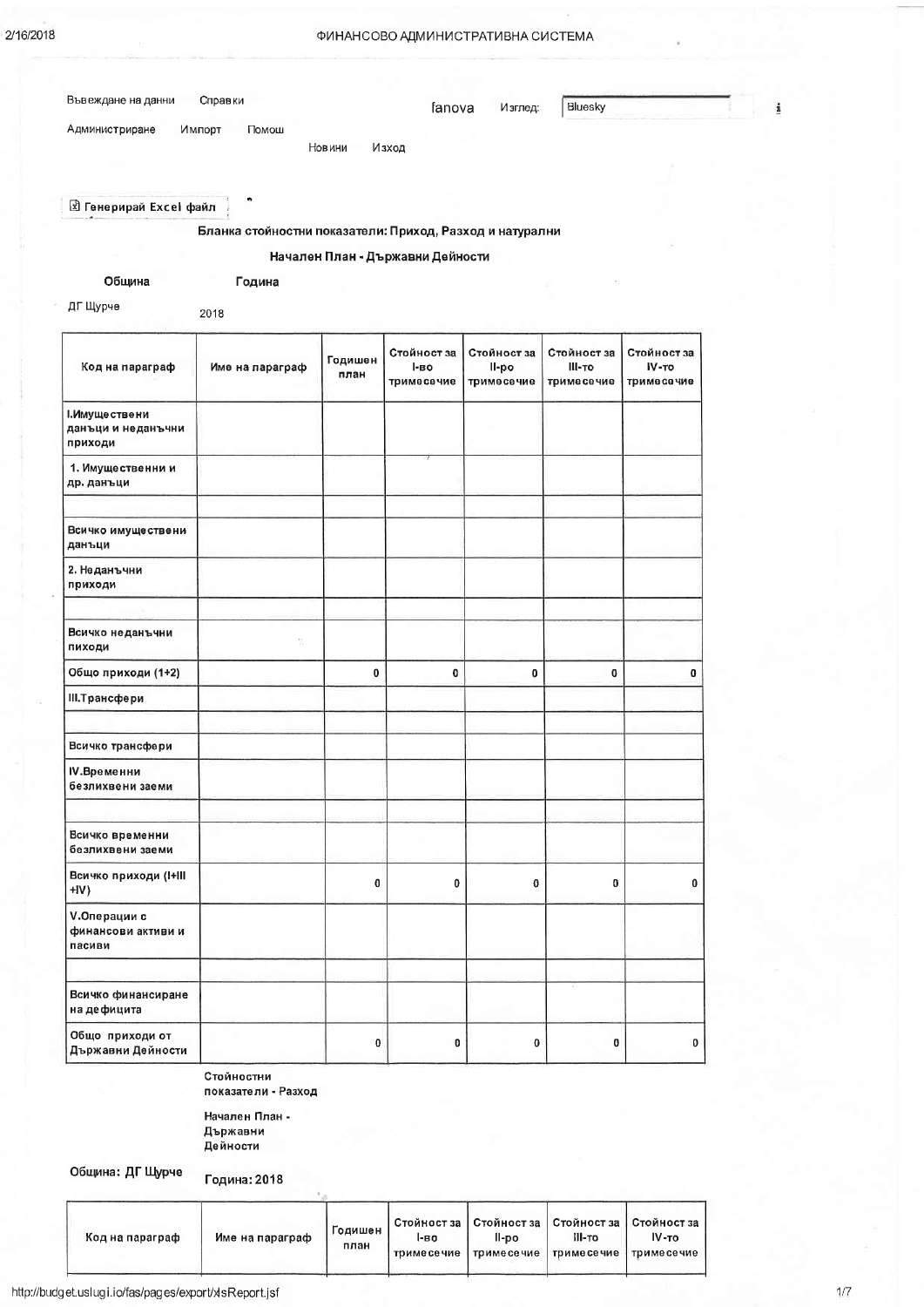### ФИНАНСОВО АДМИНИСТРАТИВНА СИСТЕМА

| Въвеждане на данни                                  | Справки                                                  |                 | fanova                           | Изглед:              | Bluesky               |                                    |  |
|-----------------------------------------------------|----------------------------------------------------------|-----------------|----------------------------------|----------------------|-----------------------|------------------------------------|--|
| Администриране                                      | Импорт<br>Помош                                          |                 |                                  |                      |                       |                                    |  |
|                                                     |                                                          | Новини          | Изход                            |                      |                       |                                    |  |
|                                                     |                                                          |                 |                                  |                      |                       |                                    |  |
| <b>E</b> Генерирай Excel файл                       | ٠                                                        |                 |                                  |                      |                       |                                    |  |
|                                                     | Бланка стойностни показатели: Приход, Разход и натурални |                 |                                  |                      |                       |                                    |  |
|                                                     |                                                          |                 | Начален План - Държавни Дейности |                      |                       |                                    |  |
| Община                                              | Година                                                   |                 |                                  |                      |                       |                                    |  |
| ДГ Щурче                                            | 2018                                                     |                 |                                  |                      |                       |                                    |  |
|                                                     |                                                          |                 |                                  |                      |                       |                                    |  |
| Код на параграф                                     | Име на параграф                                          | Годишен<br>план | Стойност за<br>І-во              | Стойност за<br>II-po | Стойност за<br>III-то | Стойност за<br>IV-TO<br>тримесечие |  |
|                                                     |                                                          |                 | тримесечие                       | тримесечие           | тримесечие            |                                    |  |
| І. Имуще ствени<br>данъци и неданъчни<br>приходи    |                                                          |                 |                                  |                      |                       |                                    |  |
| 1. Имущественни и<br>др. данъци                     |                                                          |                 |                                  |                      |                       |                                    |  |
| Всичко имуществени<br>данъци                        |                                                          |                 |                                  |                      |                       |                                    |  |
| 2. Неданъчни<br>приходи                             |                                                          |                 |                                  |                      |                       |                                    |  |
|                                                     |                                                          |                 |                                  |                      |                       |                                    |  |
| Всичко неданъчни<br>пиходи                          | V.                                                       |                 |                                  |                      |                       |                                    |  |
| Общо приходи (1+2)                                  |                                                          | 0               | $\bf{0}$                         | 0                    | 0                     | 0                                  |  |
| III. Трансфери                                      |                                                          |                 |                                  |                      |                       |                                    |  |
| Всичко трансфери                                    |                                                          |                 |                                  |                      |                       |                                    |  |
| IV.Временни<br>безлихвени заеми                     |                                                          |                 |                                  |                      |                       |                                    |  |
| Всичко временни<br>безлихвени заеми                 |                                                          |                 |                                  |                      |                       |                                    |  |
| Всичко приходи (I+III<br>HV)                        |                                                          | 0               | 0                                | 0                    | $\pmb{0}$             | 0                                  |  |
| <b>V.Операции с</b><br>финансови активи и<br>пасиви |                                                          |                 |                                  |                      |                       |                                    |  |
|                                                     |                                                          |                 |                                  |                      |                       |                                    |  |
| Всичко финансиране<br>на дефицита                   |                                                          |                 |                                  |                      |                       |                                    |  |
| Общо приходи от<br>Държавни Дейности                |                                                          | $\mathbf{0}$    | 0                                | $\bf{0}$             | 0                     | 0                                  |  |

Стойностни показатели - Разход

Начален План -Държавни Дейности

Община: ДГ Щурче

Година: 2018

| Код на параграф | Име на параграф | Годишен<br>план | 1-80<br>тримесечие | Стойност за   Стойност за   Стойност за   Стойност за  <br>II-po | III-TO<br>тримесечие тримесечие | IV-TO<br>тримесечие |
|-----------------|-----------------|-----------------|--------------------|------------------------------------------------------------------|---------------------------------|---------------------|
|-----------------|-----------------|-----------------|--------------------|------------------------------------------------------------------|---------------------------------|---------------------|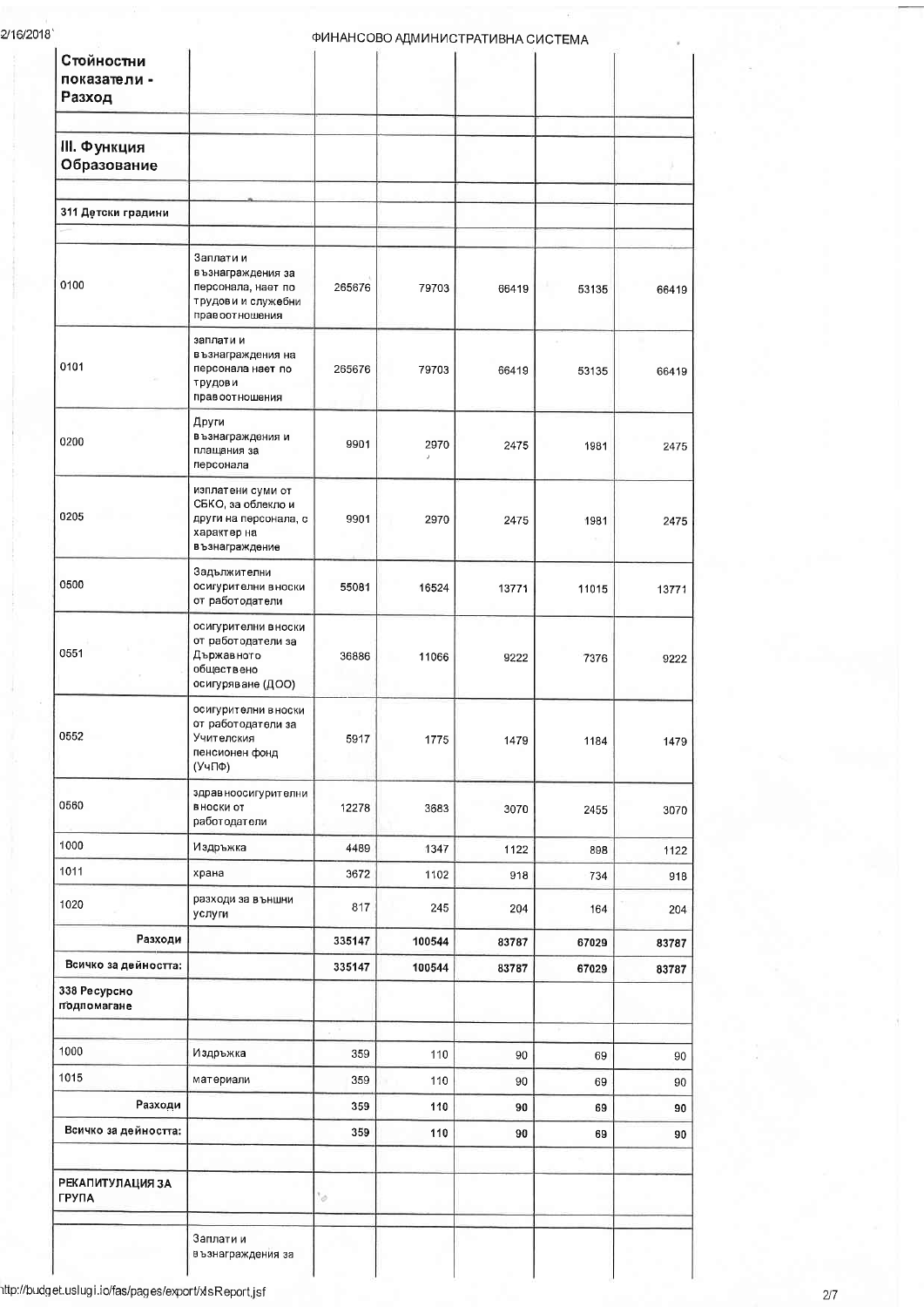| Стойностни<br>показатели -<br>Разход    |                                                                                                   |        | ФИНАНСОВО АДМИНИСТРАТИВНА СИСТЕМА |       |       |       |
|-----------------------------------------|---------------------------------------------------------------------------------------------------|--------|-----------------------------------|-------|-------|-------|
| III. Функция<br>Образование             |                                                                                                   |        |                                   |       |       |       |
| 311 Детски градини                      |                                                                                                   |        |                                   |       |       |       |
|                                         |                                                                                                   |        |                                   |       |       |       |
| 0100                                    | Заплати и<br>възнаграждения за<br>персонала, нает по<br>трудови и служебни<br>правоотношения      | 265676 | 79703                             | 66419 | 53135 | 66419 |
| 0101                                    | заплати и<br>възнаграждения на<br>персонала нает по<br>трудови<br>правоотношения                  | 265676 | 79703                             | 66419 | 53135 | 66419 |
| 0200                                    | Други<br>възнаграждения и<br>плащания за<br>персонала                                             | 9901   | 2970                              | 2475  | 1981  | 2475  |
| 0205                                    | изплатени суми от<br>СБКО, за облекло и<br>други на персонала, с<br>характер на<br>възнаграждение | 9901   | 2970                              | 2475  | 1981  | 2475  |
| 0500                                    | Задължителни<br>осигурителни вноски<br>от работодатели                                            | 55081  | 16524                             | 13771 | 11015 | 13771 |
| 0551                                    | осигурителни вноски<br>от работодатели за<br>Държавното<br>обществено<br>осигуряване (ДОО)        | 36886  | 11066                             | 9222  | 7376  | 9222  |
| 0552                                    | осигурителни в носки<br>от работодатели за<br>Учителския<br>пенсионен фонд<br>(УчПФ)              | 5917   | 1775                              | 1479  | 1184  | 1479  |
| 0560                                    | здрав ноосигурителни<br>ВНОСКИ ОТ<br>работодатели                                                 | 12278  | 3683                              | 3070  | 2455  | 3070  |
| 1000                                    | Издръжка                                                                                          | 4489   | 1347                              | 1122  | 898   | 1122  |
| 1011                                    | храна                                                                                             | 3672   | 1102                              | 918   | 734   | 918   |
| 1020                                    | разходи за външни<br>услуги                                                                       | 817    | 245                               | 204   | 164   | 204   |
| Разходи                                 |                                                                                                   | 335147 | 100544                            | 83787 | 67029 | 83787 |
| Всичко за дейността:                    |                                                                                                   | 335147 | 100544                            | 83787 | 67029 | 83787 |
| 338 Ресурсно<br>подпомагане             |                                                                                                   |        |                                   |       |       |       |
| 1000                                    | Издръжка                                                                                          | 359    | 110                               | 90    | 69    | 90    |
| 1015                                    | материали                                                                                         | 359    | 110                               | 90    | 69    | 90    |
| Разходи                                 |                                                                                                   | 359    | 110                               | 90    | 69    | 90    |
| Всичко за дейността:                    |                                                                                                   | 359    | 110                               | 90    | 69    | 90    |
| <b>РЕКАПИТУЛАЦИЯ ЗА</b><br><b>ГРУПА</b> |                                                                                                   | 10     |                                   |       |       |       |
|                                         | Заплати и<br>възнаграждения за                                                                    |        |                                   |       |       |       |

.<br>http://budget.uslugi.io/fas/pages/export/xlsReport.jsf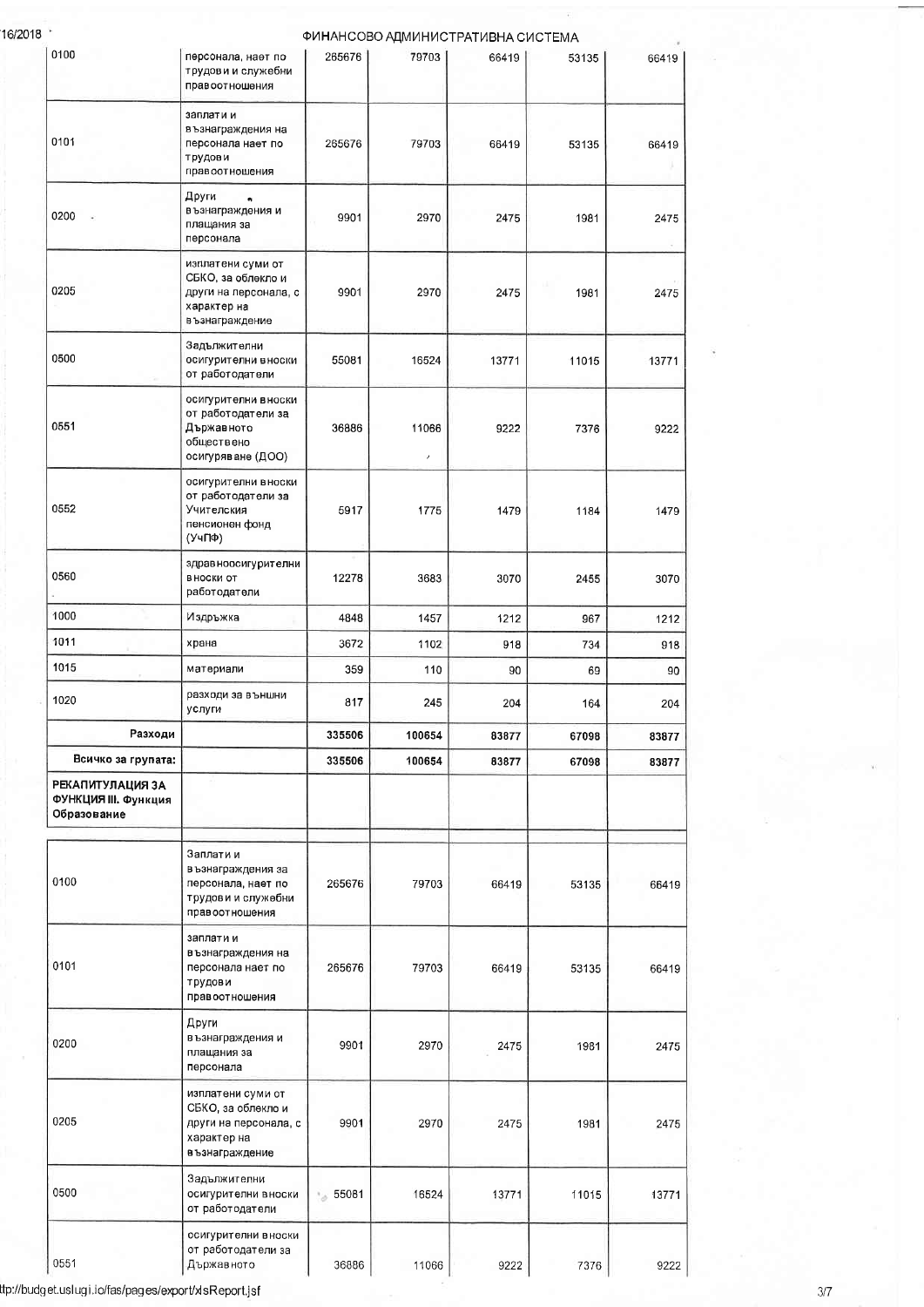16/2018

| 0100                                                    | персонала, нает по<br>трудови и служебни<br>правоотношения                                         | 265676  | ФИНАНСОВО АДМИНИСТРАТИВНА СИСТЕМА<br>79703 | 66419 | 53135 | 66419 |
|---------------------------------------------------------|----------------------------------------------------------------------------------------------------|---------|--------------------------------------------|-------|-------|-------|
| 0101                                                    | заплати и<br>възнаграждения на<br>персонала нает по<br>трудови<br>правоотношения                   | 265676  | 79703                                      | 66419 | 53135 | 66419 |
| 0200                                                    | Други<br>ė,<br>възнаграждения и<br>плащания за<br>персонала                                        | 9901    | 2970                                       | 2475  | 1981  | 2475  |
| 0205                                                    | изплатени суми от<br>СБКО, за облекло и<br>други на персонала, с<br>характер на<br>в ъзнаграждение | 9901    | 2970                                       | 2475  | 1981  | 2475  |
| 0500                                                    | Задължителни<br>осигурителни вноски<br>от работодатели                                             | 55081   | 16524                                      | 13771 | 11015 | 13771 |
| 0551                                                    | осигурителни вноски<br>от работодатели за<br>Държавното<br>обществено<br>осигуряване (ДОО)         | 36886   | 11066<br>$\prime$                          | 9222  | 7376  | 9222  |
| 0552                                                    | осигурителни вноски<br>от работодатели за<br>Учителския<br>пенсионен фонд<br>(УчПФ)                | 5917    | 1775                                       | 1479  | 1184  | 1479  |
| 0560                                                    | здравноосигурителни<br>В НОСКИ ОТ<br>работодатели                                                  | 12278   | 3683                                       | 3070  | 2455  | 3070  |
| 1000                                                    | Издръжка                                                                                           | 4848    | 1457                                       | 1212  | 967   | 1212  |
| 1011                                                    | храна                                                                                              | 3672    | 1102                                       | 918   | 734   | 918   |
| 1015                                                    | материали                                                                                          | 359     | 110                                        | 90    | 69    | 90    |
| 1020                                                    | разходи за външни<br>услуги                                                                        | 817     | 245                                        | 204   | 164   | 204   |
| Разходи                                                 |                                                                                                    | 335506  | 100654                                     | 83877 | 67098 | 83877 |
| Всичко за групата:                                      |                                                                                                    | 335506  | 100654                                     | 83877 | 67098 | 83877 |
| РЕКАПИТУЛАЦИЯ ЗА<br>ФУНКЦИЯ III. Функция<br>Образование |                                                                                                    |         |                                            |       |       |       |
| 0100                                                    | Заплати и<br>в ъзнаграждения за<br>персонала, нает по<br>трудови и служебни<br>правоотношения      | 265676  | 79703                                      | 66419 | 53135 | 66419 |
| 0101                                                    | заплати и<br>възнаграждения на<br>персонала нает по<br>трудови<br>правоотношения                   | 265676  | 79703                                      | 66419 | 53135 | 66419 |
| 0200                                                    | Други<br>възнаграждения и<br>плащания за<br>персонала                                              | 9901    | 2970                                       | 2475  | 1981  | 2475  |
| 0205                                                    | изплатени суми от<br>СБКО, за облекло и<br>други на персонала, с<br>характер на<br>възнаграждение  | 9901    | 2970                                       | 2475  | 1981  | 2475  |
| 0500                                                    | Задължителни<br>осигурителни вноски<br>от работодатели                                             | * 55081 | 16524                                      | 13771 | 11015 | 13771 |
| 0551                                                    | осигурителни вноски<br>от работодатели за<br>Държавното                                            | 36886   | 11066                                      | 9222  | 7376  | 9222  |

ttp://budget.uslugi.io/fas/pages/export/xlsReport.jsf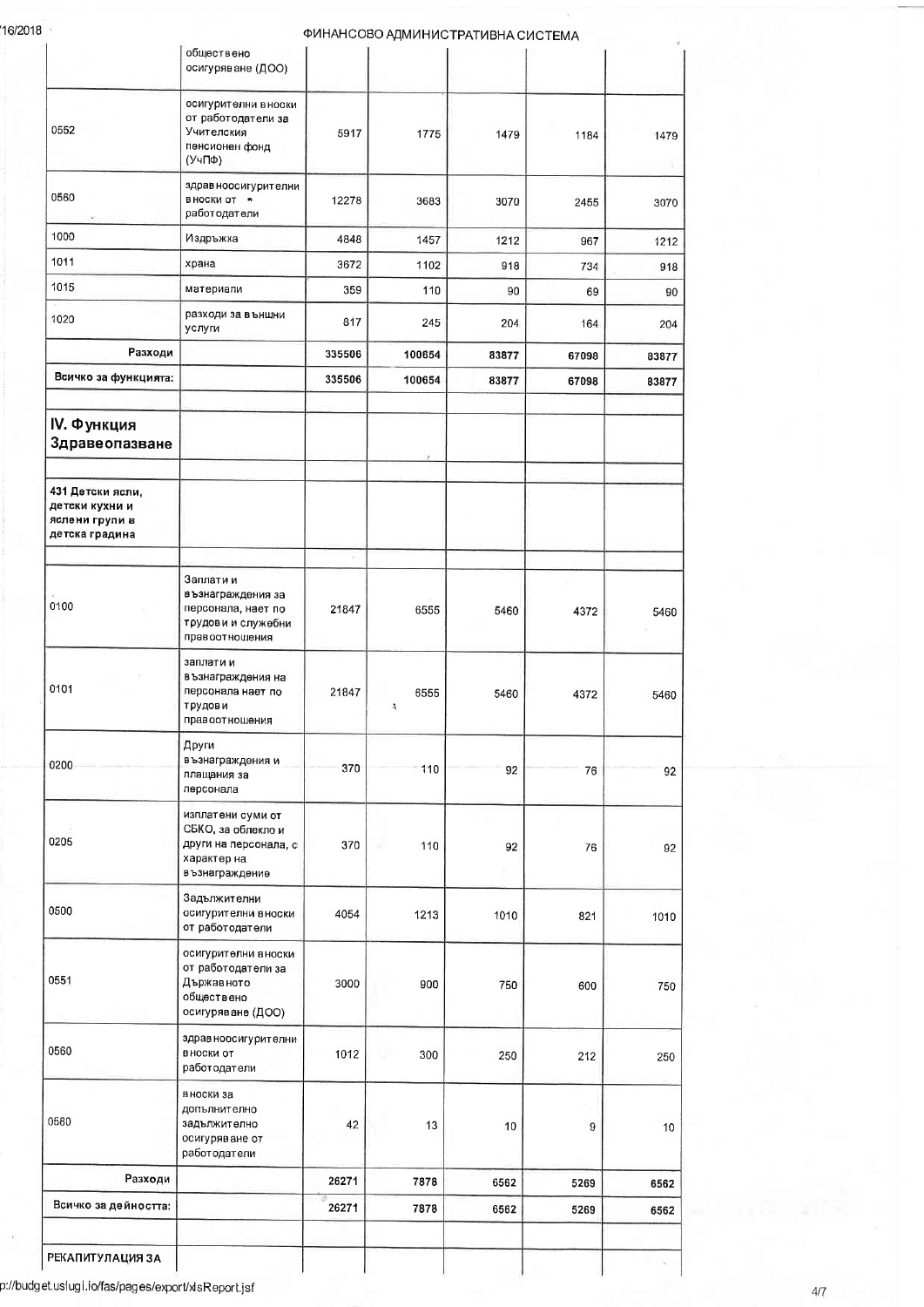16/2018

|                                                                        | осигуряване (ДОО)                                                                                 |        |           |       |       |       |
|------------------------------------------------------------------------|---------------------------------------------------------------------------------------------------|--------|-----------|-------|-------|-------|
| 0552                                                                   | осигурителни вноски<br>от работодатели за<br>Учителския<br>пенсионен фонд<br>(УчПФ)               | 5917   | 1775      | 1479  | 1184  | 1479  |
| 0560                                                                   | здрав ноосигурителни<br>вноски от •<br>работодатели                                               | 12278  | 3683      | 3070  | 2455  |       |
| 1000                                                                   | Издръжка                                                                                          | 4848   | 1457      | 1212  | 967   |       |
| 1011                                                                   | храна                                                                                             | 3672   | 1102      | 918   | 734   |       |
| 1015                                                                   | материали                                                                                         | 359    | 110       | 90    | 69    |       |
| 1020                                                                   | разходи за външни<br>услуги                                                                       | 817    | 245       | 204   | 164   |       |
| Разходи                                                                |                                                                                                   | 335506 | 100654    | 83877 | 67098 | 83877 |
| Всичко за функцията:                                                   |                                                                                                   | 335506 | 100654    | 83877 | 67098 | 83877 |
| IV. Функция<br>Здравеопазване                                          |                                                                                                   |        |           |       |       |       |
| 431 Детски ясли,<br>детски кухни и<br>яслени групи в<br>детска градина |                                                                                                   |        |           |       |       |       |
| 0100                                                                   | Заплати и<br>възнаграждения за<br>персонала, нает по<br>трудови и служебни<br>правоотношения      | 21847  | 6555      | 5460  | 4372  | 5460  |
| 0101                                                                   | заплати и<br>възнаграждения на<br>персонала нает по<br>трудови<br>правоотношения                  | 21847  | 6555<br>Ą | 5460  | 4372  | 5460  |
| 0200                                                                   | Други<br>възнаграждения и<br>плащания за<br>персонала                                             | 370    | 110       | 92    | 76    |       |
| 0205                                                                   | изплатени суми от<br>СБКО, за облекло и<br>други на персонала, с<br>характер на<br>възнаграждение | 370    | 110       | 92    | 76    |       |
| 0500                                                                   | Задължителни<br>осигурителни вноски<br>от работодатели                                            | 4054   | 1213      | 1010  | 821   | 1010  |
| 0551                                                                   | осигурителни вноски<br>от работодатели за<br>Държавното<br>обществено<br>осигуряване (ДОО)        | 3000   | 900       | 750   | 600   |       |
| 0560                                                                   | здравноосигурителни<br>вноски от<br>работодатели                                                  | 1012   | 300       | 250   | 212   |       |
| 0580                                                                   | вноски за<br>допълнително<br>задължително<br>осигуряване от<br>работодатели                       | 42     | 13        | 10    | 9     |       |
| Разходи                                                                |                                                                                                   | 26271  | 7878      | 6562  | 5269  | 6562  |
| Всичко за дейността:                                                   |                                                                                                   | 26271  | 7878      | 6562  | 5269  | 6562  |

 $4/7$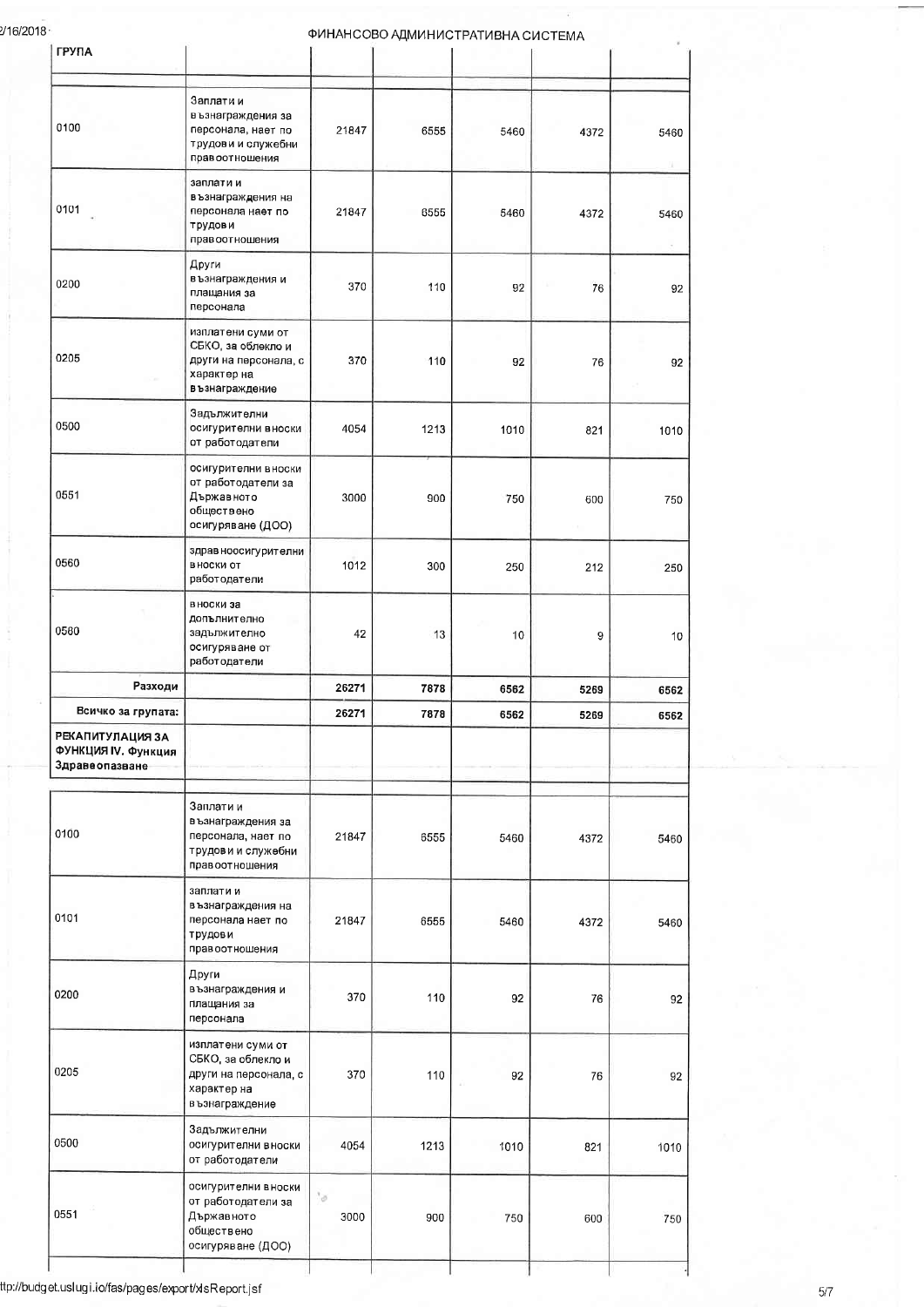### 2/16/2018

### ФИНАНСОВО АДМИНИСТРАТИВНА СИСТЕМА

| <b>ГРУПА</b>                                              |                                                                                                    |                             |      |      |      |      |
|-----------------------------------------------------------|----------------------------------------------------------------------------------------------------|-----------------------------|------|------|------|------|
| 0100                                                      | Заплати и<br>възнаграждения за<br>персонала, нает по<br>трудови и служебни<br>правоотношения       | 21847                       | 6555 | 5460 | 4372 | 5460 |
| 0101                                                      | заплати и<br>възнаграждения на<br>персонала нает по<br>трудов и<br>правоотношения                  | 21847                       | 6555 | 5460 | 4372 | 5460 |
| 0200                                                      | Други<br>възнаграждения и<br>плащания за<br>персонала                                              | 370                         | 110  | 92   | 76   | 92   |
| 0205                                                      | изплатени суми от<br>СБКО, за облекло и<br>други на персонала, с<br>характер на<br>възнаграждение  | 370                         | 110  | 92   | 76   | 92   |
| 0500                                                      | Задължителни<br>осигурителни вноски<br>от работодатели                                             | 4054                        | 1213 | 1010 | 821  | 1010 |
| 0551                                                      | осигурителни вноски<br>от работодатели за<br>Държавното<br>обществено<br>осигуряване (ДОО)         | 3000                        | 900  | 750  | 600  | 750  |
| 0560                                                      | здрав ноосигурителни<br>в носки от<br>работодатели                                                 | 1012                        | 300  | 250  | 212  | 250  |
| 0580                                                      | в носки за<br>допълнително<br>задължително<br>осигуряване от<br>работодатели                       | 42                          | 13   | 10   | 9    | 10   |
| Разходи                                                   |                                                                                                    | 26271                       | 7878 | 6562 | 5269 | 6562 |
| Всичко за групата:                                        |                                                                                                    | 26271                       | 7878 | 6562 | 5269 | 6562 |
| РЕКАПИТУЛАЦИЯ ЗА<br>ФУНКЦИЯ IV. Функция<br>Здравеопазване |                                                                                                    |                             |      |      |      |      |
| 0100                                                      | Заплати и<br>възнаграждения за<br>персонала, нает по<br>трудови и служебни<br>правоотношения       | 21847                       | 6555 | 5460 | 4372 | 5460 |
| 0101                                                      | заплати и<br>възнаграждения на<br>персонала нает по<br>трудови<br>правоотношения                   | 21847                       | 6555 | 5460 | 4372 | 5460 |
| 0200                                                      | Други<br>възнаграждения и<br>плащания за<br>персонала                                              | 370                         | 110  | 92   | 76   | 92   |
| 0205                                                      | изплатени суми от<br>СБКО, за облекло и<br>други на персонала, с<br>характер на<br>в ъзнаграждение | 370                         | 110  | 92   | 76   | 92   |
| 0500                                                      | Задължителни<br>осигурителни вноски<br>от работодатели                                             | 4054                        | 1213 | 1010 | 821  | 1010 |
| 0551                                                      | осигурителни вноски<br>от работодатели за<br>Държавното<br>обществено<br>осигуряване (ДОО)         | $\epsilon_{\rm cl}$<br>3000 | 900  | 750  | 600  | 750  |
|                                                           |                                                                                                    |                             |      |      |      |      |

# ttp://budget.uslugi.io/fas/pages/export/xlsReport.jsf